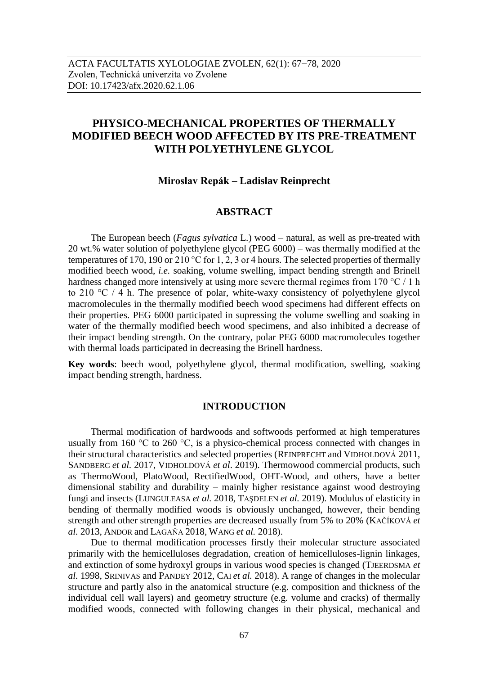# **PHYSICO-MECHANICAL PROPERTIES OF THERMALLY MODIFIED BEECH WOOD AFFECTED BY ITS PRE-TREATMENT WITH POLYETHYLENE GLYCOL**

# **Miroslav Repák – Ladislav Reinprecht**

# **ABSTRACT**

The European beech (*Fagus sylvatica* L.) wood – natural, as well as pre-treated with 20 wt.% water solution of polyethylene glycol (PEG 6000) – was thermally modified at the temperatures of 170, 190 or 210 °C for 1, 2, 3 or 4 hours. The selected properties of thermally modified beech wood, *i.e.* soaking, volume swelling, impact bending strength and Brinell hardness changed more intensively at using more severe thermal regimes from 170 °C / 1 h to 210 °C / 4 h. The presence of polar, white-waxy consistency of polyethylene glycol macromolecules in the thermally modified beech wood specimens had different effects on their properties. PEG 6000 participated in supressing the volume swelling and soaking in water of the thermally modified beech wood specimens, and also inhibited a decrease of their impact bending strength. On the contrary, polar PEG 6000 macromolecules together with thermal loads participated in decreasing the Brinell hardness.

**Key words**: beech wood, polyethylene glycol, thermal modification, swelling, soaking impact bending strength, hardness.

### **INTRODUCTION**

Thermal modification of hardwoods and softwoods performed at high temperatures usually from 160  $\degree$ C to 260  $\degree$ C, is a physico-chemical process connected with changes in their structural characteristics and selected properties (REINPRECHT and VIDHOLDOVÁ 2011, SANDBERG *et al.* 2017, VIDHOLDOVÁ *et al*. 2019). Thermowood commercial products, such as ThermoWood, PlatoWood, RectifiedWood, OHT-Wood, and others, have a better dimensional stability and durability – mainly higher resistance against wood destroying fungi and insects (LUNGULEASA *et al.* 2018, TAŞDELEN *et al.* 2019). Modulus of elasticity in bending of thermally modified woods is obviously unchanged, however, their bending strength and other strength properties are decreased usually from 5% to 20% (KAČÍKOVÁ *et al.* 2013, ANDOR and LAGAŇA 2018, WANG *et al.* 2018).

Due to thermal modification processes firstly their molecular structure associated primarily with the hemicelluloses degradation, creation of hemicelluloses-lignin linkages, and extinction of some hydroxyl groups in various wood species is changed (TJEERDSMA *et al.* 1998, SRINIVAS and PANDEY 2012, CAI *et al.* 2018). A range of changes in the molecular structure and partly also in the anatomical structure (e.g. composition and thickness of the individual cell wall layers) and geometry structure (e.g. volume and cracks) of thermally modified woods, connected with following changes in their physical, mechanical and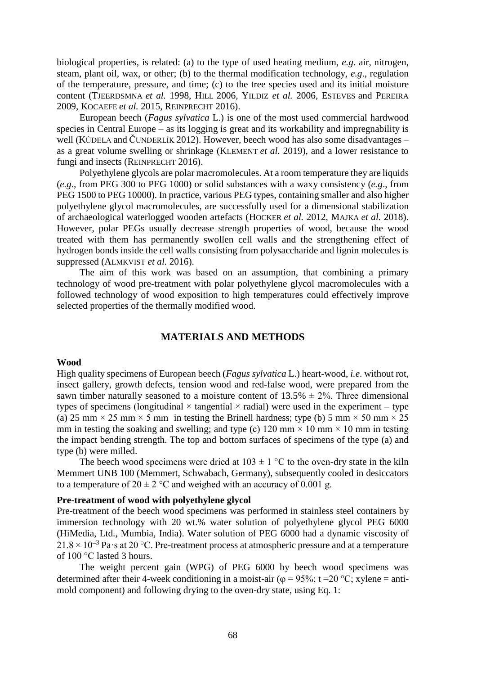biological properties, is related: (a) to the type of used heating medium, *e.g*. air, nitrogen, steam, plant oil, wax, or other; (b) to the thermal modification technology, *e.g*., regulation of the temperature, pressure, and time; (c) to the tree species used and its initial moisture content (TJEERDSMNA *et al.* 1998, HILL 2006, YILDIZ *et al.* 2006, ESTEVES and PEREIRA 2009, KOCAEFE *et al.* 2015, REINPRECHT 2016).

European beech (*Fagus sylvatica* L.) is one of the most used commercial hardwood species in Central Europe – as its logging is great and its workability and impregnability is well (KÚDELA and ČUNDERLÍK 2012). However, beech wood has also some disadvantages – as a great volume swelling or shrinkage (KLEMENT *et al.* 2019), and a lower resistance to fungi and insects (REINPRECHT 2016).

Polyethylene glycols are polar macromolecules. At a room temperature they are liquids (*e.g*., from PEG 300 to PEG 1000) or solid substances with a waxy consistency (*e.g*., from PEG 1500 to PEG 10000). In practice, various PEG types, containing smaller and also higher polyethylene glycol macromolecules, are successfully used for a dimensional stabilization of archaeological waterlogged wooden artefacts (HOCKER *et al.* 2012, MAJKA *et al.* 2018). However, polar PEGs usually decrease strength properties of wood, because the wood treated with them has permanently swollen cell walls and the strengthening effect of hydrogen bonds inside the cell walls consisting from polysaccharide and lignin molecules is suppressed (ALMKVIST *et al.* 2016).

The aim of this work was based on an assumption, that combining a primary technology of wood pre-treatment with polar polyethylene glycol macromolecules with a followed technology of wood exposition to high temperatures could effectively improve selected properties of the thermally modified wood.

## **MATERIALS AND METHODS**

#### **Wood**

High quality specimens of European beech (*Fagus sylvatica* L.) heart-wood, *i.e*. without rot, insect gallery, growth defects, tension wood and red-false wood, were prepared from the sawn timber naturally seasoned to a moisture content of  $13.5\% \pm 2\%$ . Three dimensional types of specimens (longitudinal  $\times$  tangential  $\times$  radial) were used in the experiment – type (a) 25 mm  $\times$  25 mm  $\times$  5 mm in testing the Brinell hardness; type (b) 5 mm  $\times$  50 mm  $\times$  25 mm in testing the soaking and swelling; and type (c) 120 mm  $\times$  10 mm  $\times$  10 mm in testing the impact bending strength. The top and bottom surfaces of specimens of the type (a) and type (b) were milled.

The beech wood specimens were dried at  $103 \pm 1$  °C to the oven-dry state in the kiln Memmert UNB 100 (Memmert, Schwabach, Germany), subsequently cooled in desiccators to a temperature of  $20 \pm 2$  °C and weighed with an accuracy of 0.001 g.

### **Pre-treatment of wood with polyethylene glycol**

Pre-treatment of the beech wood specimens was performed in stainless steel containers by immersion technology with 20 wt.% water solution of polyethylene glycol PEG 6000 (HiMedia, Ltd., Mumbia, India). Water solution of PEG 6000 had a dynamic viscosity of  $21.8 \times 10^{-3}$  Pa·s at 20 °C. Pre-treatment process at atmospheric pressure and at a temperature of 100 °C lasted 3 hours.

The weight percent gain (WPG) of PEG 6000 by beech wood specimens was determined after their 4-week conditioning in a moist-air ( $\varphi = 95\%$ ; t = 20 °C; xylene = antimold component) and following drying to the oven-dry state, using Eq. 1: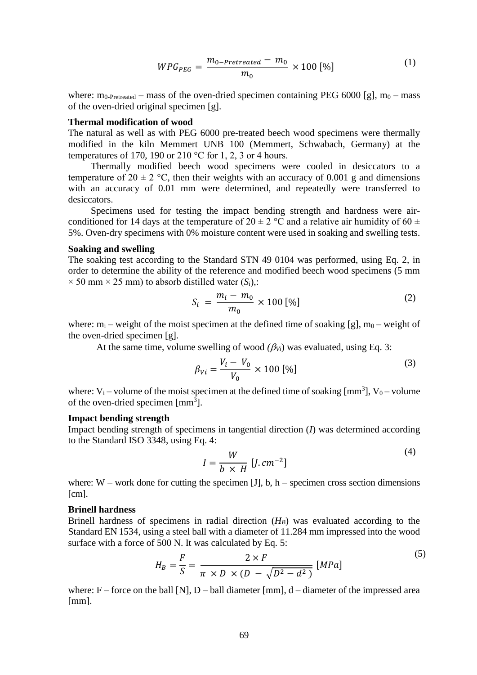$$
WPG_{PEG} = \frac{m_{0-Pretreated} - m_0}{m_0} \times 100 \,[\%]
$$
 (1)

where:  $m_0$ -Pretreated – mass of the oven-dried specimen containing PEG 6000 [g],  $m_0$  – mass of the oven-dried original specimen [g].

#### **Thermal modification of wood**

The natural as well as with PEG 6000 pre-treated beech wood specimens were thermally modified in the kiln Memmert UNB 100 (Memmert, Schwabach, Germany) at the temperatures of 170, 190 or 210 °C for 1, 2, 3 or 4 hours.

Thermally modified beech wood specimens were cooled in desiccators to a temperature of  $20 \pm 2$  °C, then their weights with an accuracy of 0.001 g and dimensions with an accuracy of 0.01 mm were determined, and repeatedly were transferred to desiccators.

Specimens used for testing the impact bending strength and hardness were airconditioned for 14 days at the temperature of  $20 \pm 2$  °C and a relative air humidity of 60  $\pm$ 5%. Oven-dry specimens with 0% moisture content were used in soaking and swelling tests.

#### **Soaking and swelling**

The soaking test according to the Standard STN 49 0104 was performed, using Eq. 2, in order to determine the ability of the reference and modified beech wood specimens (5 mm  $\times$  50 mm  $\times$  25 mm) to absorb distilled water (*S<sub>i</sub>*),:

$$
S_i = \frac{m_i - m_0}{m_0} \times 100 [%]
$$
 (2)

where:  $m_i$  – weight of the moist specimen at the defined time of soaking [g],  $m_0$  – weight of the oven-dried specimen [g].

At the same time, volume swelling of wood  $(\beta_{Vi})$  was evaluated, using Eq. 3:

$$
\beta_{Vi} = \frac{V_i - V_0}{V_0} \times 100 \, [\%]
$$
\n(3)

where:  $V_i$  – volume of the moist specimen at the defined time of soaking  $[mm<sup>3</sup>]$ ,  $V_0$  – volume of the oven-dried specimen [mm<sup>3</sup>].

#### **Impact bending strength**

Impact bending strength of specimens in tangential direction (*I*) was determined according to the Standard ISO 3348, using Eq. 4:  $(4)$ 

$$
I = \frac{W}{b \times H} [J.cm^{-2}]
$$

where:  $W$  – work done for cutting the specimen [J], b, h – specimen cross section dimensions [cm].

### **Brinell hardness**

Brinell hardness of specimens in radial direction (*HB*) was evaluated according to the Standard EN 1534, using a steel ball with a diameter of 11.284 mm impressed into the wood surface with a force of 500 N. It was calculated by Eq. 5:

$$
H_B = \frac{F}{S} = \frac{2 \times F}{\pi \times D \times (D - \sqrt{D^2 - d^2})} [MPa]
$$
\n<sup>(5)</sup>

where:  $F$  – force on the ball [N], D – ball diameter [mm],  $d$  – diameter of the impressed area [mm].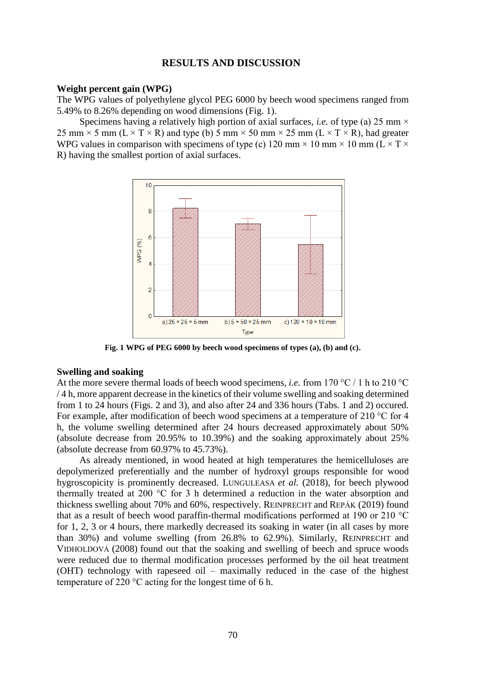# **RESULTS AND DISCUSSION**

#### **Weight percent gain (WPG)**

The WPG values of polyethylene glycol PEG 6000 by beech wood specimens ranged from 5.49% to 8.26% depending on wood dimensions (Fig. 1).

Specimens having a relatively high portion of axial surfaces, *i.e.* of type (a) 25 mm  $\times$ 25 mm  $\times$  5 mm (L  $\times$  T  $\times$  R) and type (b) 5 mm  $\times$  50 mm  $\times$  25 mm (L  $\times$  T  $\times$  R), had greater WPG values in comparison with specimens of type (c) 120 mm  $\times$  10 mm  $\times$  10 mm (L  $\times$  T  $\times$ R) having the smallest portion of axial surfaces.



**Fig. 1 WPG of PEG 6000 by beech wood specimens of types (a), (b) and (c).**

### **Swelling and soaking**

At the more severe thermal loads of beech wood specimens, *i.e.* from 170 °C / 1 h to 210 °C / 4 h, more apparent decrease in the kinetics of their volume swelling and soaking determined from 1 to 24 hours (Figs. 2 and 3), and also after 24 and 336 hours (Tabs. 1 and 2) occured. For example, after modification of beech wood specimens at a temperature of 210 °C for 4 h, the volume swelling determined after 24 hours decreased approximately about 50% (absolute decrease from 20.95% to 10.39%) and the soaking approximately about 25% (absolute decrease from 60.97% to 45.73%).

As already mentioned, in wood heated at high temperatures the hemicelluloses are depolymerized preferentially and the number of hydroxyl groups responsible for wood hygroscopicity is prominently decreased. LUNGULEASA *et al.* (2018), for beech plywood thermally treated at 200 °C for 3 h determined a reduction in the water absorption and thickness swelling about 70% and 60%, respectively. REINPRECHT and REPÁK (2019) found that as a result of beech wood paraffin-thermal modifications performed at 190 or 210 °C for 1, 2, 3 or 4 hours, there markedly decreased its soaking in water (in all cases by more than 30%) and volume swelling (from 26.8% to 62.9%). Similarly, REINPRECHT and VIDHOLDOVÁ (2008) found out that the soaking and swelling of beech and spruce woods were reduced due to thermal modification processes performed by the oil heat treatment (OHT) technology with rapeseed oil – maximally reduced in the case of the highest temperature of 220 °C acting for the longest time of 6 h.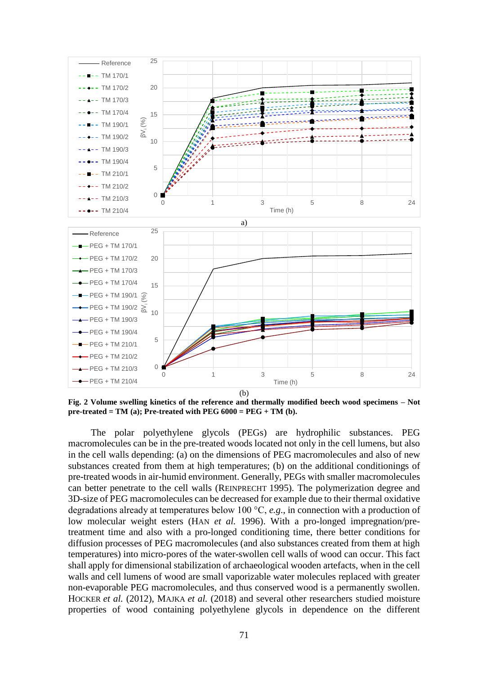

**Fig. 2 Volume swelling kinetics of the reference and thermally modified beech wood specimens – Not pre-treated = TM (a); Pre-treated with PEG**  $6000 = PEG + TM$  **(b).** 

The polar polyethylene glycols (PEGs) are hydrophilic substances. PEG macromolecules can be in the pre-treated woods located not only in the cell lumens, but also in the cell walls depending: (a) on the dimensions of PEG macromolecules and also of new substances created from them at high temperatures; (b) on the additional conditionings of pre-treated woods in air-humid environment. Generally, PEGs with smaller macromolecules can better penetrate to the cell walls (REINPRECHT 1995). The polymerization degree and 3D-size of PEG macromolecules can be decreased for example due to their thermal oxidative degradations already at temperatures below 100 °C, *e.g*., in connection with a production of low molecular weight esters (HAN *et al.* 1996). With a pro-longed impregnation/pretreatment time and also with a pro-longed conditioning time, there better conditions for diffusion processes of PEG macromolecules (and also substances created from them at high temperatures) into micro-pores of the water-swollen cell walls of wood can occur. This fact shall apply for dimensional stabilization of archaeological wooden artefacts, when in the cell walls and cell lumens of wood are small vaporizable water molecules replaced with greater non-evaporable PEG macromolecules, and thus conserved wood is a permanently swollen. HOCKER *et al.* (2012), MAJKA *et al.* (2018) and several other researchers studied moisture properties of wood containing polyethylene glycols in dependence on the different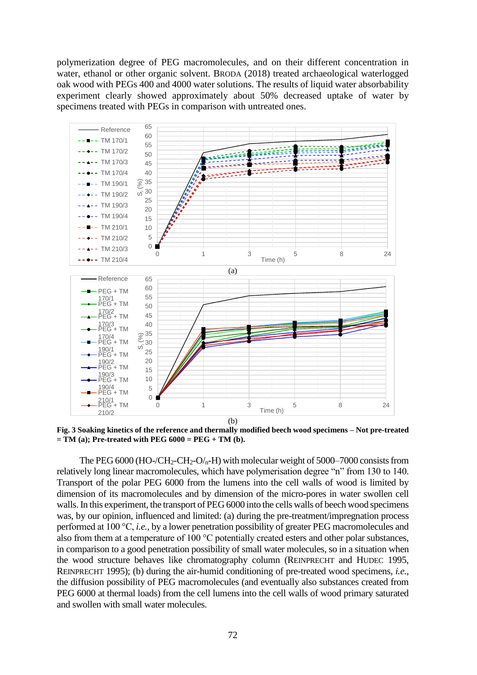polymerization degree of PEG macromolecules, and on their different concentration in water, ethanol or other organic solvent. BRODA (2018) treated archaeological waterlogged oak wood with PEGs 400 and 4000 water solutions. The results of liquid water absorbability experiment clearly showed approximately about 50% decreased uptake of water by specimens treated with PEGs in comparison with untreated ones.



**Fig. 3 Soaking kinetics of the reference and thermally modified beech wood specimens – Not pre-treated = TM (a); Pre-treated with PEG 6000 = PEG + TM (b).** 

The PEG 6000 (HO-/CH<sub>2</sub>-CH<sub>2</sub>-O/<sub>n</sub>-H) with molecular weight of 5000–7000 consists from relatively long linear macromolecules, which have polymerisation degree "n" from 130 to 140. Transport of the polar PEG 6000 from the lumens into the cell walls of wood is limited by dimension of its macromolecules and by dimension of the micro-pores in water swollen cell walls. In this experiment, the transport of PEG 6000 into the cells walls of beech wood specimens was, by our opinion, influenced and limited: (a) during the pre-treatment/impregnation process performed at 100 °C, *i.e.,* by a lower penetration possibility of greater PEG macromolecules and also from them at a temperature of 100 °C potentially created esters and other polar substances, in comparison to a good penetration possibility of small water molecules, so in a situation when the wood structure behaves like chromatography column (REINPRECHT and HUDEC 1995, REINPRECHT 1995); (b) during the air-humid conditioning of pre-treated wood specimens, *i.e*., the diffusion possibility of PEG macromolecules (and eventually also substances created from PEG 6000 at thermal loads) from the cell lumens into the cell walls of wood primary saturated and swollen with small water molecules.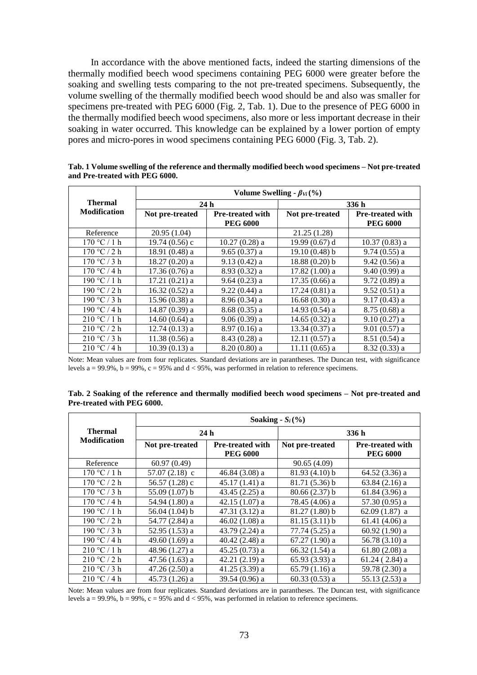In accordance with the above mentioned facts, indeed the starting dimensions of the thermally modified beech wood specimens containing PEG 6000 were greater before the soaking and swelling tests comparing to the not pre-treated specimens. Subsequently, the volume swelling of the thermally modified beech wood should be and also was smaller for specimens pre-treated with PEG 6000 (Fig. 2, Tab. 1). Due to the presence of PEG 6000 in the thermally modified beech wood specimens, also more or less important decrease in their soaking in water occurred. This knowledge can be explained by a lower portion of empty pores and micro-pores in wood specimens containing PEG 6000 (Fig. 3, Tab. 2).

|                     | Volume Swelling - $\beta_{Vi}$ (%) |                         |                  |                         |  |
|---------------------|------------------------------------|-------------------------|------------------|-------------------------|--|
| <b>Thermal</b>      | 24h                                |                         | 336h             |                         |  |
| <b>Modification</b> | Not pre-treated                    | <b>Pre-treated with</b> | Not pre-treated  | <b>Pre-treated with</b> |  |
|                     |                                    | <b>PEG 6000</b>         |                  | <b>PEG 6000</b>         |  |
| Reference           | 20.95(1.04)                        |                         | 21.25(1.28)      |                         |  |
| 170 °C / 1 h        | $19.74(0.56)$ c                    | $10.27(0.28)$ a         | 19.99 $(0.67)$ d | $10.37(0.83)$ a         |  |
| 170 °C/2 h          | 18.91 $(0.48)$ a                   | $9.65(0.37)$ a          | 19.10(0.48) b    | $9.74(0.55)$ a          |  |
| 170 °C / 3 h        | $18.27(0.20)$ a                    | $9.13(0.42)$ a          | $18.88(0.20)$ b  | $9.42(0.56)$ a          |  |
| 170 °C / 4 h        | $17.36(0.76)$ a                    | $8.93(0.32)$ a          | $17.82(1.00)$ a  | 9.40(0.99) a            |  |
| 190 °C / 1 h        | $17.21(0.21)$ a                    | $9.64(0.23)$ a          | $17.35(0.66)$ a  | $9.72(0.89)$ a          |  |
| 190 °C / 2 h        | $16.32(0.52)$ a                    | $9.22(0.44)$ a          | $17.24(0.81)$ a  | $9.52(0.51)$ a          |  |
| 190 °C / 3 h        | $15.96(0.38)$ a                    | $8.96(0.34)$ a          | $16.68(0.30)$ a  | $9.17(0.43)$ a          |  |
| 190 °C / 4 h        | $14.87(0.39)$ a                    | $8.68(0.35)$ a          | $14.93(0.54)$ a  | $8.75(0.68)$ a          |  |
| 210 °C / 1 h        | $14.60(0.64)$ a                    | $9.06(0.39)$ a          | 14.65 $(0.32)$ a | $9.10(0.27)$ a          |  |
| 210 °C / 2 h        | $12.74(0.13)$ a                    | $8.97(0.16)$ a          | $13.34(0.37)$ a  | $9.01(0.57)$ a          |  |
| 210 °C / 3 h        | $11.38(0.56)$ a                    | $8.43(0.28)$ a          | $12.11(0.57)$ a  | $8.51(0.54)$ a          |  |
| 210 °C / 4 h        | $10.39(0.13)$ a                    | 8.20 (0.80) a           | $11.11(0.65)$ a  | $8.32(0.33)$ a          |  |

**Tab. 1 Volume swelling of the reference and thermally modified beech wood specimens – Not pre-treated and Pre-treated with PEG 6000.** 

Note: Mean values are from four replicates. Standard deviations are in parantheses. The Duncan test, with significance levels a = 99.9%,  $b = 99\%$ ,  $c = 95\%$  and  $d < 95\%$ , was performed in relation to reference specimens.

| Tab. 2 Soaking of the reference and thermally modified beech wood specimens – Not pre-treated and |  |  |
|---------------------------------------------------------------------------------------------------|--|--|
| Pre-treated with PEG 6000.                                                                        |  |  |

|                                       | Soaking - $S_i$ (%) |                                            |                 |                                            |
|---------------------------------------|---------------------|--------------------------------------------|-----------------|--------------------------------------------|
| <b>Thermal</b><br><b>Modification</b> | 24h                 |                                            | 336 h           |                                            |
|                                       | Not pre-treated     | <b>Pre-treated with</b><br><b>PEG 6000</b> | Not pre-treated | <b>Pre-treated with</b><br><b>PEG 6000</b> |
| Reference                             | 60.97(0.49)         |                                            | 90.65(4.09)     |                                            |
| 170 °C / 1 h                          | 57.07 $(2.18)$ c    | 46.84 $(3.08)$ a                           | 81.93 (4.10) b  | 64.52 (3.36) a                             |
| 170 °C/2 h                            | 56.57 $(1.28)$ c    | $45.17(1.41)$ a                            | $81.71(5.36)$ b | $63.84(2.16)$ a                            |
| 170 °C / 3 h                          | $55.09(1.07)$ b     | 43.45 $(2.25)$ a                           | $80.66(2.37)$ b | $61.84(3.96)$ a                            |
| 170 °C / 4 h                          | 54.94 (1.80) a      | $42.15(1.07)$ a                            | 78.45 (4.06) a  | $57.30(0.95)$ a                            |
| 190 °C / 1 h                          | 56.04 $(1.04)$ b    | $47.31(3.12)$ a                            | $81.27(1.80)$ b | $62.09(1.87)$ a                            |
| 190 °C / 2 h                          | 54.77 (2.84) a      | 46.02 $(1.08)$ a                           | 81.15(3.11) b   | $61.41(4.06)$ a                            |
| 190 °C / 3 h                          | $52.95(1.53)$ a     | 43.79 (2.24) a                             | 77.74 (5.25) a  | $60.92(1.90)$ a                            |
| 190 °C / 4 h                          | 49.60 $(1.69)$ a    | 40.42 $(2.48)$ a                           | $67.27(1.90)$ a | 56.78 $(3.10)$ a                           |
| 210 °C / 1 h                          | 48.96 (1.27) a      | $45.25(0.73)$ a                            | $66.32(1.54)$ a | $61.80(2.08)$ a                            |
| 210 °C / 2 h                          | $47.56(1.63)$ a     | $42.21(2.19)$ a                            | $65.93(3.93)$ a | $61.24(2.84)$ a                            |
| 210 °C / 3 h                          | $47.26(2.50)$ a     | 41.25 $(3.39)$ a                           | $65.79(1.16)$ a | 59.78 (2.30) a                             |
| 210 °C / 4 h                          | $45.73(1.26)$ a     | 39.54 (0.96) a                             | $60.33(0.53)$ a | 55.13 (2.53) a                             |

Note: Mean values are from four replicates. Standard deviations are in parantheses. The Duncan test, with significance levels a = 99.9%,  $b = 99\%$ ,  $c = 95\%$  and  $d < 95\%$ , was performed in relation to reference specimens.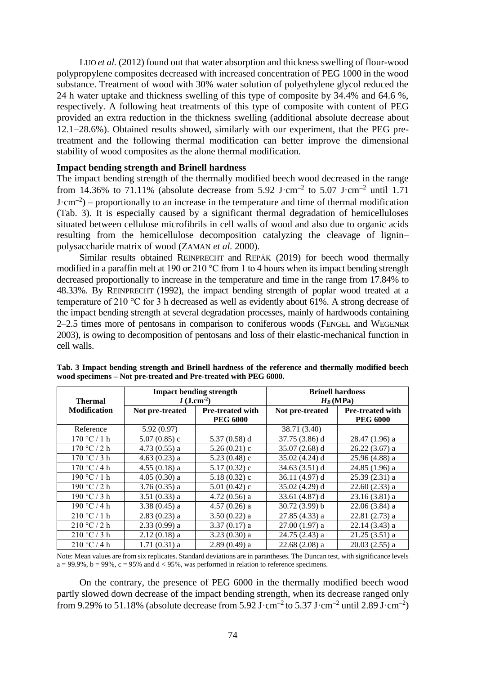Luo *et al.* (2012) found out that water absorption and thickness swelling of flour-wood polypropylene composites decreased with increased concentration of PEG 1000 in the wood substance. Treatment of wood with 30% water solution of polyethylene glycol reduced the 24 h water uptake and thickness swelling of this type of composite by 34.4% and 64.6 %, respectively. A following heat treatments of this type of composite with content of PEG provided an extra reduction in the thickness swelling (additional absolute decrease about  $12.1-28.6\%$ ). Obtained results showed, similarly with our experiment, that the PEG pretreatment and the following thermal modification can better improve the dimensional stability of wood composites as the alone thermal modification.

### **Impact bending strength and Brinell hardness**

The impact bending strength of the thermally modified beech wood decreased in the range from 14.36% to 71.11% (absolute decrease from 5.92 J $\cdot$ cm<sup>-2</sup> to 5.07 J $\cdot$ cm<sup>-2</sup> until 1.71  $J \cdot cm^{-2}$ ) – proportionally to an increase in the temperature and time of thermal modification (Tab. 3). It is especially caused by a significant thermal degradation of hemicelluloses situated between cellulose microfibrils in cell walls of wood and also due to organic acids resulting from the hemicellulose decomposition catalyzing the cleavage of lignin– polysaccharide matrix of wood (ZAMAN *et al.* 2000).

Similar results obtained REINPRECHT and REPÁK (2019) for beech wood thermally modified in a paraffin melt at 190 or 210 °C from 1 to 4 hours when its impact bending strength decreased proportionally to increase in the temperature and time in the range from 17.84% to 48.33%. By REINPRECHT (1992), the impact bending strength of poplar wood treated at a temperature of 210 °C for 3 h decreased as well as evidently about 61%. A strong decrease of the impact bending strength at several degradation processes, mainly of hardwoods containing 2–2.5 times more of pentosans in comparison to coniferous woods (FENGEL and WEGENER 2003), is owing to decomposition of pentosans and loss of their elastic-mechanical function in cell walls.

|                     | <b>Impact bending strength</b><br>$I$ (J.cm <sup>-2</sup> ) |                         | <b>Brinell hardness</b><br>$H_B(MPa)$ |                         |
|---------------------|-------------------------------------------------------------|-------------------------|---------------------------------------|-------------------------|
| <b>Thermal</b>      |                                                             |                         |                                       |                         |
| <b>Modification</b> | Not pre-treated                                             | <b>Pre-treated with</b> | Not pre-treated                       | <b>Pre-treated with</b> |
|                     |                                                             | <b>PEG 6000</b>         |                                       | <b>PEG 6000</b>         |
| Reference           | 5.92(0.97)                                                  |                         | 38.71 (3.40)                          |                         |
| 170 °C/1 h          | $5.07(0.85)$ c                                              | 5.37 $(0.58)$ d         | 37.75 (3.86) d                        | 28.47 (1.96) a          |
| 170 °C / 2 h        | $4.73(0.55)$ a                                              | $5.26(0.21)$ c          | $35.07(2.68)$ d                       | $26.22(3.67)$ a         |
| 170 °C / 3 h        | $4.63(0.23)$ a                                              | $5.23(0.48)$ c          | $35.02(4.24)$ d                       | $25.96(4.88)$ a         |
| 170 °C / 4 h        | $4.55(0.18)$ a                                              | $5.17(0.32)$ c          | 34.63(3.51) d                         | $24.85(1.96)$ a         |
| 190 °C / 1 h        | $4.05(0.30)$ a                                              | $5.18(0.32)$ c          | 36.11 (4.97) d                        | $25.39(2.31)$ a         |
| 190 °C / 2 h        | $3.76(0.35)$ a                                              | $5.01(0.42)$ c          | $35.02(4.29)$ d                       | $22.60(2.33)$ a         |
| 190 °C / 3 h        | $3.51(0.33)$ a                                              | $4.72(0.56)$ a          | 33.61 (4.87) d                        | $23.16(3.81)$ a         |
| 190 °C / 4 h        | $3.38(0.45)$ a                                              | $4.57(0.26)$ a          | 30.72(3.99) b                         | $22.06(3.84)$ a         |
| 210 °C / 1 h        | $2.83(0.23)$ a                                              | $3.50(0.22)$ a          | $27.85(4.33)$ a                       | $22.81(2.73)$ a         |
| 210 °C / 2 h        | $2.33(0.99)$ a                                              | $3.37(0.17)$ a          | $27.00(1.97)$ a                       | $22.14(3.43)$ a         |
| 210 °C / 3 h        | $2.12(0.18)$ a                                              | $3.23(0.30)$ a          | $24.75(2.43)$ a                       | $21.25(3.51)$ a         |
| 210 °C / 4 h        | $1.71(0.31)$ a                                              | $2.89(0.49)$ a          | $22.68(2.08)$ a                       | $20.03(2.55)$ a         |

**Tab. 3 Impact bending strength and Brinell hardness of the reference and thermally modified beech wood specimens – Not pre-treated and Pre-treated with PEG 6000.** 

Note: Mean values are from six replicates. Standard deviations are in parantheses. The Duncan test, with significance levels  $a = 99.9\%$ ,  $b = 99\%$ ,  $c = 95\%$  and  $d < 95\%$ , was performed in relation to reference specimens.

On the contrary, the presence of PEG 6000 in the thermally modified beech wood partly slowed down decrease of the impact bending strength, when its decrease ranged only from 9.29% to 51.18% (absolute decrease from 5.92 J·cm<sup>-2</sup> to 5.37 J·cm<sup>-2</sup> until 2.89 J·cm<sup>-2</sup>)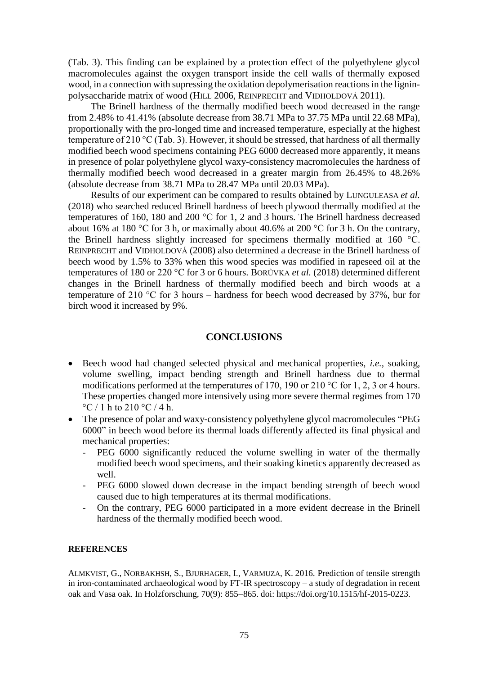(Tab. 3). This finding can be explained by a protection effect of the polyethylene glycol macromolecules against the oxygen transport inside the cell walls of thermally exposed wood, in a connection with supressing the oxidation depolymerisation reactions in the ligninpolysaccharide matrix of wood (HILL 2006, REINPRECHT and VIDHOLDOVÁ 2011).

The Brinell hardness of the thermally modified beech wood decreased in the range from 2.48% to 41.41% (absolute decrease from 38.71 MPa to 37.75 MPa until 22.68 MPa), proportionally with the pro-longed time and increased temperature, especially at the highest temperature of 210 °C (Tab. 3). However, it should be stressed, that hardness of all thermally modified beech wood specimens containing PEG 6000 decreased more apparently, it means in presence of polar polyethylene glycol waxy-consistency macromolecules the hardness of thermally modified beech wood decreased in a greater margin from 26.45% to 48.26% (absolute decrease from 38.71 MPa to 28.47 MPa until 20.03 MPa).

Results of our experiment can be compared to results obtained by LUNGULEASA *et al.*  (2018) who searched reduced Brinell hardness of beech plywood thermally modified at the temperatures of 160, 180 and 200 °C for 1, 2 and 3 hours. The Brinell hardness decreased about 16% at 180 °C for 3 h, or maximally about 40.6% at 200 °C for 3 h. On the contrary, the Brinell hardness slightly increased for specimens thermally modified at 160 °C. REINPRECHT and VIDHOLDOVÁ (2008) also determined a decrease in the Brinell hardness of beech wood by 1.5% to 33% when this wood species was modified in rapeseed oil at the temperatures of 180 or 220 °C for 3 or 6 hours. BORŮVKA *et al.* (2018) determined different changes in the Brinell hardness of thermally modified beech and birch woods at a temperature of 210 °C for 3 hours – hardness for beech wood decreased by 37%, bur for birch wood it increased by 9%.

# **CONCLUSIONS**

- Beech wood had changed selected physical and mechanical properties, *i.e.,* soaking, volume swelling, impact bending strength and Brinell hardness due to thermal modifications performed at the temperatures of 170, 190 or 210  $^{\circ}$ C for 1, 2, 3 or 4 hours. These properties changed more intensively using more severe thermal regimes from 170 °C / 1 h to 210 °C / 4 h.
- The presence of polar and waxy-consistency polyethylene glycol macromolecules "PEG 6000" in beech wood before its thermal loads differently affected its final physical and mechanical properties:
	- PEG 6000 significantly reduced the volume swelling in water of the thermally modified beech wood specimens, and their soaking kinetics apparently decreased as well.
	- PEG 6000 slowed down decrease in the impact bending strength of beech wood caused due to high temperatures at its thermal modifications.
	- On the contrary, PEG 6000 participated in a more evident decrease in the Brinell hardness of the thermally modified beech wood.

# **REFERENCES**

ALMKVIST, G., NORBAKHSH, S., BJURHAGER, I., VARMUZA, K. 2016. Prediction of tensile strength in iron-contaminated archaeological wood by FT-IR spectroscopy – a study of degradation in recent oak and Vasa oak. In Holzforschung, 70(9): 855–865. doi: [https://doi.org/10.1515/hf-2015-0223.](https://doi.org/10.1515/hf-2015-0223)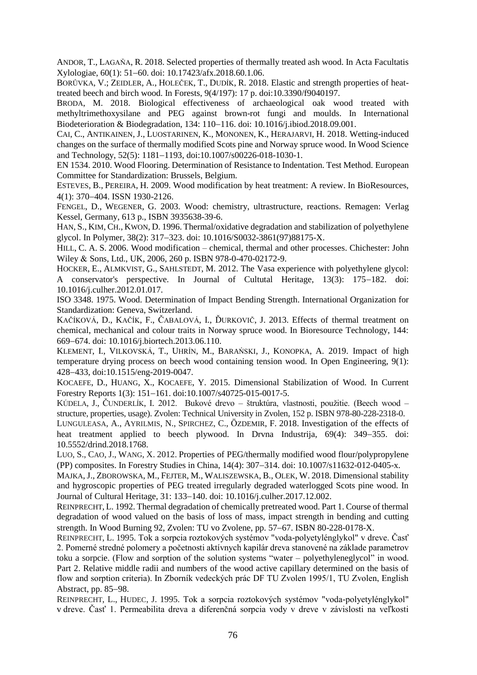ANDOR, T., LAGAŇA, R. 2018. Selected properties of thermally treated ash wood. In Acta Facultatis Xylologiae, 60(1): 51–60. doi: [10.17423/afx.2018.60.1.06.](http://dx.doi.org/10.17423/afx.2018.60.1.06)

BORŮVKA, V.; ZEIDLER, A., HOLEČEK, T., DUDÍK, R. 2018. Elastic and strength properties of heattreated beech and birch wood. In Forests, 9(4/197): 17 p. doi:10.3390/f9040197.

BRODA, M. 2018. Biological effectiveness of archaeological oak wood treated with methyltrimethoxysilane and PEG against brown-rot fungi and moulds. In International Biodeterioration & Biodegradation, 134: 110–116. doi: 10.1016/j.jbiod.2018.09.001.

CAI, C., ANTIKAINEN, J., LUOSTARINEN, K., MONONEN, K., HERAJARVI, H. 2018. Wetting-induced changes on the surface of thermally modified Scots pine and Norway spruce wood. In Wood Science and Technology,  $52(5)$ :  $1181-1193$ , doi:10.1007/s00226-018-1030-1.

EN 1534. 2010. Wood Flooring. Determination of Resistance to Indentation. Test Method. European Committee for Standardization: Brussels, Belgium.

ESTEVES, B., PEREIRA, H. 2009. Wood modification by heat treatment: A review. In BioResources, 4(1): 370-404. ISSN 1930-2126.

FENGEL, D., WEGENER, G. 2003. Wood: chemistry, ultrastructure, reactions. Remagen: Verlag Kessel, Germany, 613 p., ISBN 3935638-39-6.

HAN, S., KIM, CH., KWON, D. 1996. Thermal/oxidative degradation and stabilization of polyethylene glycol. In Polymer, 38(2): 317–323. doi: 10.1016/S0032-3861(97)88175-X.

HILL, C. A. S. 2006. Wood modification – chemical, thermal and other processes. Chichester: John Wiley & Sons, Ltd., UK, 2006, 260 p. ISBN 978-0-470-02172-9.

HOCKER, E., ALMKVIST, G., SAHLSTEDT, M. 2012. The Vasa experience with polyethylene glycol: A conservator's perspective. In Journal of Cultutal Heritage, 13(3): 175-182. doi: 10.1016/j.culher.2012.01.017.

ISO 3348. 1975. Wood. Determination of Impact Bending Strength. International Organization for Standardization: Geneva, Switzerland.

KAČÍKOVÁ, D., KAČÍK, F., ČABALOVÁ, I., ĎURKOVIČ, J. 2013. Effects of thermal treatment on chemical, mechanical and colour traits in Norway spruce wood. In Bioresource Technology, 144: 669674. doi: 10.1016/j.biortech.2013.06.110.

KLEMENT, I., VILKOVSKÁ, T., UHRÍN, M., BARAŃSKI, J., KONOPKA, A. 2019. Impact of high temperature drying process on beech wood containing tension wood. In Open Engineering, 9(1): 428433, doi:10.1515/eng-2019-0047.

KOCAEFE, D., HUANG, X., KOCAEFE, Y. 2015. Dimensional Stabilization of Wood. In Current Forestry Reports 1(3): 151-161. doi:10.1007/s40725-015-0017-5.

KÚDELA, J., ČUNDERLÍK, I. 2012. Bukové drevo – štruktúra, vlastnosti, použitie. (Beech wood – structure, properties, usage). Zvolen: Technical University in Zvolen, 152 p. ISBN 978-80-228-2318-0.

LUNGULEASA, A., AYRILMIS, N., SPIRCHEZ, C., ÖZDEMIR, F. 2018. Investigation of the effects of heat treatment applied to beech plywood. In Drvna Industrija,  $69(4)$ : 349–355. doi: 10.5552/drind.2018.1768.

LUO, S., CAO, J., WANG, X. 2012. Properties of PEG/thermally modified wood flour/polypropylene (PP) composites. In Forestry Studies in China, 14(4): 307–314. doi: [10.1007/s11632-012-0405-x.](http://dx.doi.org/10.1007/s11632-012-0405-x)

MAJKA, J., ZBOROWSKA, M., FEJTER, M., WALISZEWSKA, B., OLEK, W. 2018. Dimensional stability and hygroscopic properties of PEG treated irregularly degraded waterlogged Scots pine wood. In Journal of Cultural Heritage, 31: 133-140. doi: [10.1016/j.culher.2017.12.002.](http://dx.doi.org/10.1016/j.culher.2017.12.002)

REINPRECHT, L. 1992. Thermal degradation of chemically pretreated wood. Part 1. Course of thermal degradation of wood valued on the basis of loss of mass, impact strength in bending and cutting strength. In Wood Burning 92, Zvolen: TU vo Zvolene, pp. 57-67. ISBN 80-228-0178-X.

REINPRECHT, L. 1995. Tok a sorpcia roztokových systémov "voda-polyetylénglykol" v dreve. Časť 2. Pomerné stredné polomery a početnosti aktívnych kapilár dreva stanovené na základe parametrov toku a sorpcie. (Flow and sorption of the solution systems "water – polyethyleneglycol" in wood. Part 2. Relative middle radii and numbers of the wood active capillary determined on the basis of flow and sorption criteria). In Zborník vedeckých prác DF TU Zvolen 1995/1, TU Zvolen, English Abstract, pp. 85–98.

REINPRECHT, L., HUDEC, J. 1995. Tok a sorpcia roztokových systémov "voda-polyetylénglykol" v dreve. Časť 1. Permeabilita dreva a diferenčná sorpcia vody v dreve v závislosti na veľkosti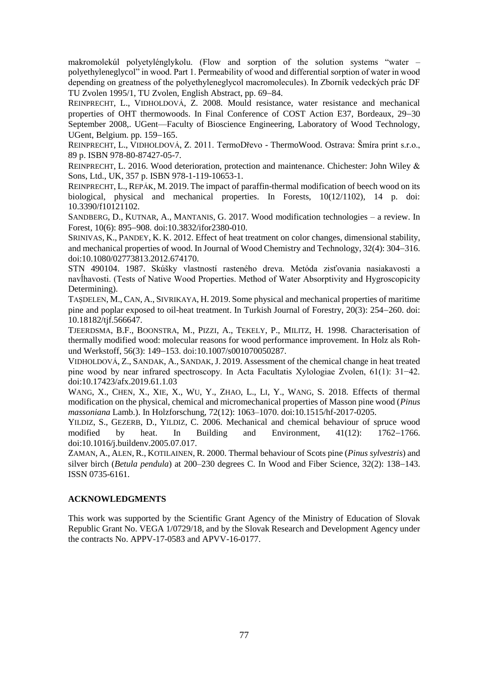makromolekúl polyetylénglykolu. (Flow and sorption of the solution systems "water – polyethyleneglycol" in wood. Part 1. Permeability of wood and differential sorption of water in wood depending on greatness of the polyethyleneglycol macromolecules). In Zborník vedeckých prác DF TU Zvolen 1995/1, TU Zvolen, English Abstract, pp. 69–84.

REINPRECHT, L., VIDHOLDOVÁ, Z. 2008. Mould resistance, water resistance and mechanical properties of OHT thermowoods. In Final Conference of COST Action E37, Bordeaux, 29-30 September 2008,. UGent—Faculty of Bioscience Engineering, Laboratory of Wood Technology, UGent, Belgium. pp.  $159-165$ .

REINPRECHT, L., VIDHOLDOVÁ, Z. 2011. TermoDřevo - ThermoWood. Ostrava: Šmíra print s.r.o., 89 p. ISBN 978-80-87427-05-7.

REINPRECHT, L. 2016. Wood deterioration, protection and maintenance. Chichester: John Wiley & Sons, Ltd., UK, 357 p. ISBN 978-1-119-10653-1.

REINPRECHT, L., REPÁK, M. 2019. The impact of paraffin-thermal modification of beech wood on its biological, physical and mechanical properties. In Forests, 10(12/1102), 14 p. doi: 10.3390/f10121102.

SANDBERG, D., KUTNAR, A., MANTANIS, G. 2017. Wood modification technologies – a review. In Forest, 10(6): 895–908. doi:10.3832/ifor2380-010.

SRINIVAS, K., PANDEY, K. K. 2012. Effect of heat treatment on color changes, dimensional stability, and mechanical properties of wood. In Journal of Wood Chemistry and Technology, 32(4): 304–316. doi:10.1080/02773813.2012.674170.

STN 490104. 1987. Skúšky vlastností rasteného dreva. Metóda zisťovania nasiakavosti a navĺhavosti. (Tests of Native Wood Properties. Method of Water Absorptivity and Hygroscopicity Determining).

TAŞDELEN, M., CAN, A., SIVRIKAYA, H. 2019. Some physical and mechanical properties of maritime pine and poplar exposed to oil-heat treatment. In Turkish Journal of Forestry,  $20(3)$ :  $254-260$ . doi: 10.18182/tjf.566647.

TJEERDSMA, B.F., BOONSTRA, M., PIZZI, A., TEKELY, P., MILITZ, H. 1998. Characterisation of thermally modified wood: molecular reasons for wood performance improvement. In Holz als Rohund Werkstoff, 56(3): 149-153. doi:10.1007/s001070050287.

VIDHOLDOVÁ, Z., SANDAK, A., SANDAK, J. 2019. Assessment of the chemical change in heat treated pine wood by near infrared spectroscopy. In Acta Facultatis Xylologiae Zvolen, 61(1): 31−42. doi:10.17423/afx.2019.61.1.03

WANG, X., CHEN, X., XIE, X., WU, Y., ZHAO, L., LI, Y., WANG, S. 2018. Effects of thermal modification on the physical, chemical and micromechanical properties of Masson pine wood (*Pinus massoniana* Lamb.). In Holzforschung, 72(12): 1063–1070. doi:10.1515/hf-2017-0205.

YILDIZ, S., GEZERB, D., YILDIZ, C. 2006. Mechanical and chemical behaviour of spruce wood modified by heat. In Building and Environment,  $41(12)$ :  $1762-1766$ . doi:10.1016/j.buildenv.2005.07.017.

ZAMAN, A., ALEN, R., KOTILAINEN, R. 2000. Thermal behaviour of Scots pine (*Pinus sylvestris*) and silver birch (*Betula pendula*) at 200–230 degrees C. In Wood and Fiber Science, 32(2): 138–143. ISSN 0735-6161.

### **ACKNOWLEDGMENTS**

This work was supported by the Scientific Grant Agency of the Ministry of Education of Slovak Republic Grant No. VEGA 1/0729/18, and by the Slovak Research and Development Agency under the contracts No. APPV-17-0583 and APVV-16-0177.